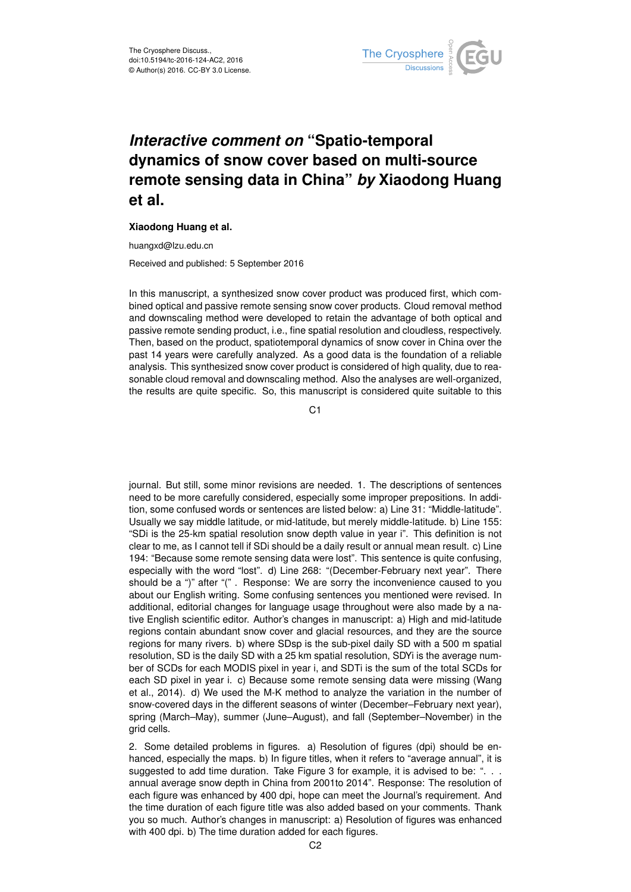

## *Interactive comment on* **"Spatio-temporal dynamics of snow cover based on multi-source remote sensing data in China"** *by* **Xiaodong Huang et al.**

## **Xiaodong Huang et al.**

huangxd@lzu.edu.cn

Received and published: 5 September 2016

In this manuscript, a synthesized snow cover product was produced first, which combined optical and passive remote sensing snow cover products. Cloud removal method and downscaling method were developed to retain the advantage of both optical and passive remote sending product, i.e., fine spatial resolution and cloudless, respectively. Then, based on the product, spatiotemporal dynamics of snow cover in China over the past 14 years were carefully analyzed. As a good data is the foundation of a reliable analysis. This synthesized snow cover product is considered of high quality, due to reasonable cloud removal and downscaling method. Also the analyses are well-organized, the results are quite specific. So, this manuscript is considered quite suitable to this

C1

journal. But still, some minor revisions are needed. 1. The descriptions of sentences need to be more carefully considered, especially some improper prepositions. In addition, some confused words or sentences are listed below: a) Line 31: "Middle-latitude". Usually we say middle latitude, or mid-latitude, but merely middle-latitude. b) Line 155: "SDi is the 25-km spatial resolution snow depth value in year i". This definition is not clear to me, as I cannot tell if SDi should be a daily result or annual mean result. c) Line 194: "Because some remote sensing data were lost". This sentence is quite confusing, especially with the word "lost". d) Line 268: "(December-February next year". There should be a ")" after "(" . Response: We are sorry the inconvenience caused to you about our English writing. Some confusing sentences you mentioned were revised. In additional, editorial changes for language usage throughout were also made by a native English scientific editor. Author's changes in manuscript: a) High and mid-latitude regions contain abundant snow cover and glacial resources, and they are the source regions for many rivers. b) where SDsp is the sub-pixel daily SD with a 500 m spatial resolution, SD is the daily SD with a 25 km spatial resolution, SDYi is the average number of SCDs for each MODIS pixel in year i, and SDTi is the sum of the total SCDs for each SD pixel in year i. c) Because some remote sensing data were missing (Wang et al., 2014). d) We used the M-K method to analyze the variation in the number of snow-covered days in the different seasons of winter (December–February next year), spring (March–May), summer (June–August), and fall (September–November) in the grid cells.

2. Some detailed problems in figures. a) Resolution of figures (dpi) should be enhanced, especially the maps. b) In figure titles, when it refers to "average annual", it is suggested to add time duration. Take Figure 3 for example, it is advised to be: ". . . annual average snow depth in China from 2001to 2014". Response: The resolution of each figure was enhanced by 400 dpi, hope can meet the Journal's requirement. And the time duration of each figure title was also added based on your comments. Thank you so much. Author's changes in manuscript: a) Resolution of figures was enhanced with 400 dpi. b) The time duration added for each figures.